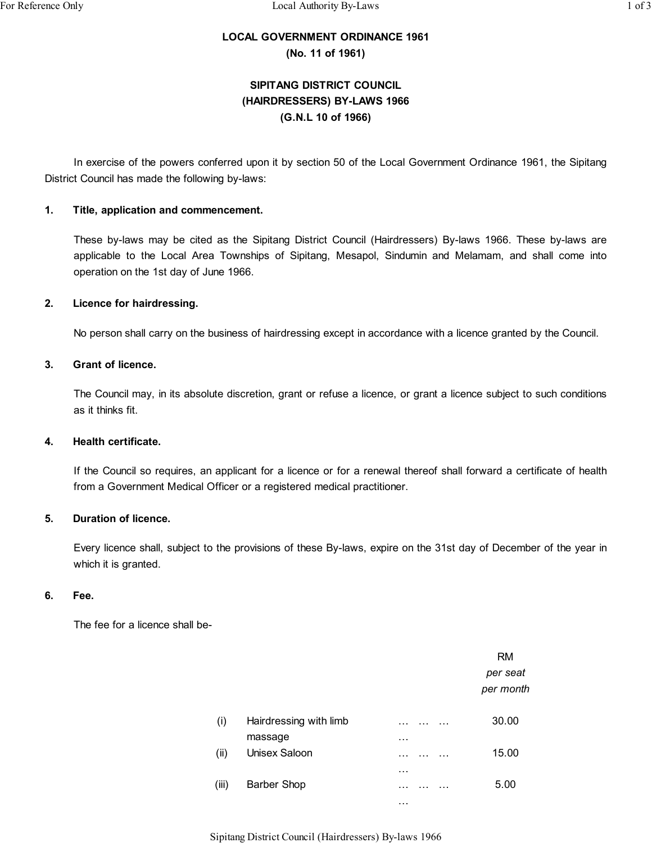# **LOCAL GOVERNMENT ORDINANCE 1961**

**(No. 11 of 1961)**

# **SIPITANG DISTRICT COUNCIL (HAIRDRESSERS) BY-LAWS 1966 (G.N.L 10 of 1966)**

In exercise of the powers conferred upon it by section 50 of the Local Government Ordinance 1961, the Sipitang District Council has made the following by-laws:

## **1. Title, application and commencement.**

These by-laws may be cited as the Sipitang District Council (Hairdressers) By-laws 1966. These by-laws are applicable to the Local Area Townships of Sipitang, Mesapol, Sindumin and Melamam, and shall come into operation on the 1st day of June 1966.

### **2. Licence for hairdressing.**

No person shall carry on the business of hairdressing except in accordance with a licence granted by the Council.

# **3. Grant of licence.**

The Council may, in its absolute discretion, grant or refuse a licence, or grant a licence subject to such conditions as it thinks fit.

### **4. Health certificate.**

If the Council so requires, an applicant for a licence or for a renewal thereof shall forward a certificate of health from a Government Medical Officer or a registered medical practitioner.

### **5. Duration of licence.**

Every licence shall, subject to the provisions of these By-laws, expire on the 31st day of December of the year in which it is granted.

### **6. Fee.**

The fee for a licence shall be-

|       |                        |   | <b>RM</b><br>per seat<br>per month |
|-------|------------------------|---|------------------------------------|
| (i)   | Hairdressing with limb |   | 30.00                              |
|       | massage                | . |                                    |
| (ii)  | Unisex Saloon          |   | 15.00                              |
|       |                        | . |                                    |
| (iii) | Barber Shop            |   | 5.00                               |
|       |                        | . |                                    |

Sipitang District Council (Hairdressers) By-laws 1966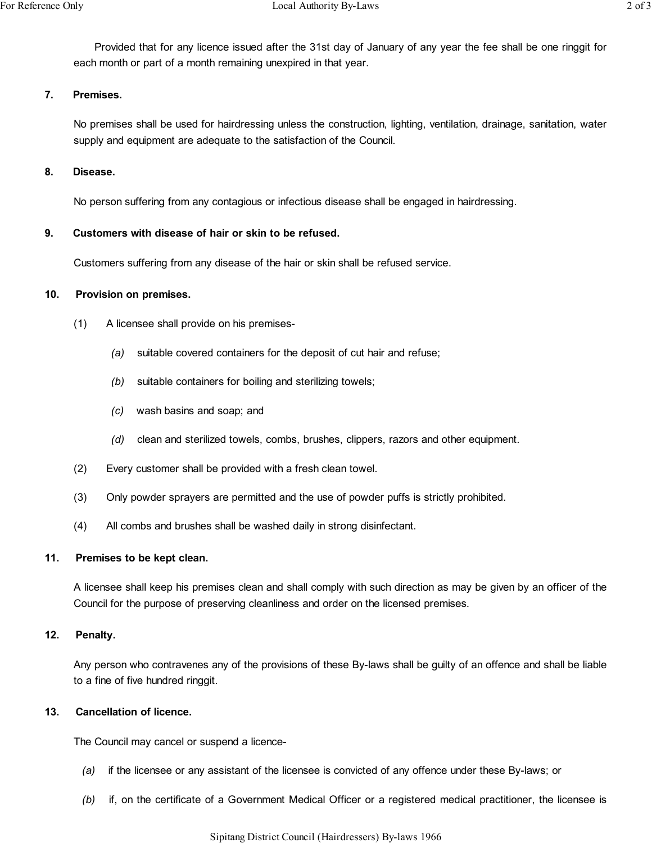Provided that for any licence issued after the 31st day of January of any year the fee shall be one ringgit for each month or part of a month remaining unexpired in that year.

# **7. Premises.**

No premises shall be used for hairdressing unless the construction, lighting, ventilation, drainage, sanitation, water supply and equipment are adequate to the satisfaction of the Council.

# **8. Disease.**

No person suffering from any contagious or infectious disease shall be engaged in hairdressing.

# **9. Customers with disease of hair or skin to be refused.**

Customers suffering from any disease of the hair or skin shall be refused service.

# **10. Provision on premises.**

- (1) A licensee shall provide on his premises-
	- *(a)* suitable covered containers for the deposit of cut hair and refuse;
	- *(b)* suitable containers for boiling and sterilizing towels;
	- *(c)* wash basins and soap; and
	- *(d)* clean and sterilized towels, combs, brushes, clippers, razors and other equipment.
- (2) Every customer shall be provided with a fresh clean towel.
- (3) Only powder sprayers are permitted and the use of powder puffs is strictly prohibited.
- (4) All combs and brushes shall be washed daily in strong disinfectant.

### **11. Premises to be kept clean.**

A licensee shall keep his premises clean and shall comply with such direction as may be given by an officer of the Council for the purpose of preserving cleanliness and order on the licensed premises.

### **12. Penalty.**

Any person who contravenes any of the provisions of these By-laws shall be guilty of an offence and shall be liable to a fine of five hundred ringgit.

# **13. Cancellation of licence.**

The Council may cancel or suspend a licence-

- *(a)* if the licensee or any assistant of the licensee is convicted of any offence under these By-laws; or
- *(b)* if, on the certificate of a Government Medical Officer or a registered medical practitioner, the licensee is